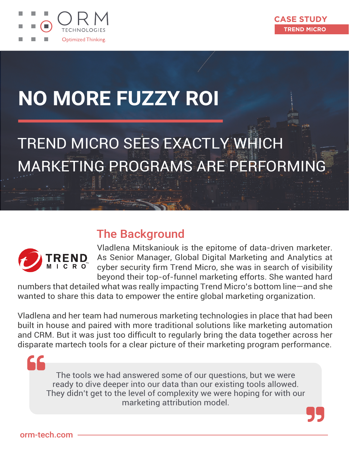



# **NO MORE FUZZY ROI**

## TREND MICRO SEES EXACTLY WHICH MARKETING PROGRAMS ARE PERFORMING



### The Background

Vladlena Mitskaniouk is the epitome of data-driven marketer. As Senior Manager, Global Digital Marketing and Analytics at cyber security firm Trend Micro, she was in search of visibility beyond their top-of-funnel marketing efforts. She wanted hard

numbers that detailed what was really impacting Trend Micro's bottom line—and she wanted to share this data to empower the entire global marketing organization.

Vladlena and her team had numerous marketing technologies in place that had been built in house and paired with more traditional solutions like marketing automation and CRM. But it was just too difficult to regularly bring the data together across her disparate martech tools for a clear picture of their marketing program performance.

The tools we had answered some of our questions, but we were ready to dive deeper into our data than our existing tools allowed. They didn't get to the level of complexity we were hoping for with our marketing attribution model.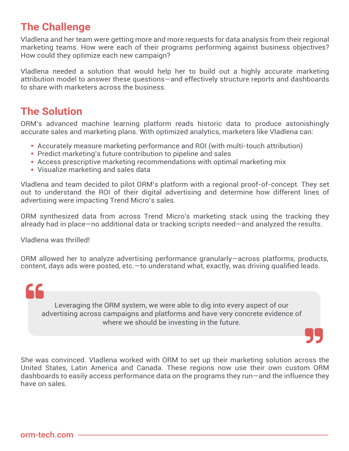#### **The Challenge**

Vladlena and her team were getting more and more requests for data analysis from their regional marketing teams. How were each of their programs performing against business objectives? How could they optimize each new campaign?

Vladlena needed a solution that would help her to build out a highly accurate marketing attribution model to answer these questions—and effectively structure reports and dashboards to share with marketers across the business.

#### **The Solution**

ORM's advanced machine learning platform reads historic data to produce astonishingly accurate sales and marketing plans. With optimized analytics, marketers like Vladlena can:

- Accurately measure marketing performance and ROI (with multi-touch attribution)
- Predict marketing's future contribution to pipeline and sales
- Access prescriptive marketing recommendations with optimal marketing mix
- Visualize marketing and sales data

Vladlena and team decided to pilot ORM's platform with a regional proof-of-concept. They set out to understand the ROI of their digital advertising and determine how different lines of advertising were impacting Trend Micro's sales.

ORM synthesized data from across Trend Micro's marketing stack using the tracking they already had in place—no additional data or tracking scripts needed—and analyzed the results.

Vladlena was thrilled!

ORM allowed her to analyze advertising performance granularly—across platforms, products, content, days ads were posted, etc.—to understand what, exactly, was driving qualified leads.



She was convinced. Vladlena worked with ORM to set up their marketing solution across the United States, Latin America and Canada. These regions now use their own custom ORM dashboards to easily access performance data on the programs they run—and the influence they have on sales.